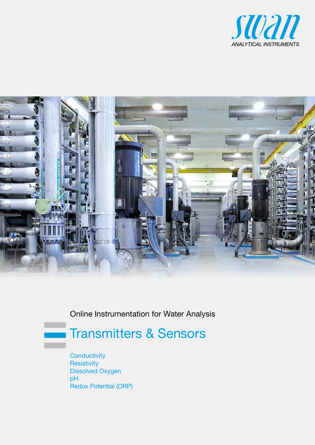



Online Instrumentation for Water Analysis

# Transmitters & Sensors

**Conductivity Resistivity** Dissolved Oxygen pH Redox Potential (ORP)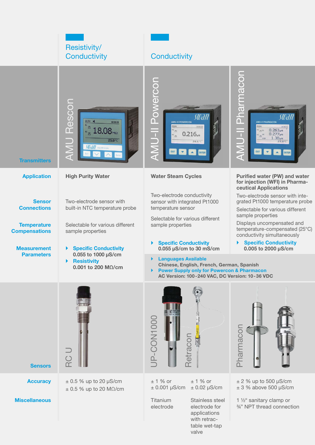

**Miscellaneous** 

**Titanium** electrode

Stainless steel electrode for applications with retractable wet-tap valve

1 ½" sanitary clamp or ¾" NPT thread connection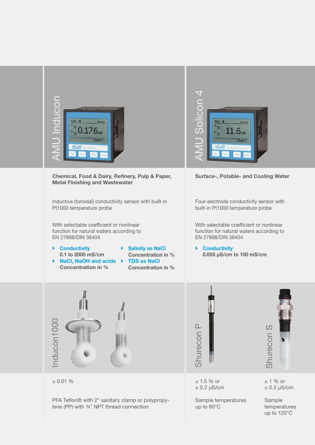

Inductive (toroidal) conductivity sensor with built-in Pt1000 temperature probe

With selectable coefficient or nonlinear function for natural waters according to EN 27888/DIN 38404

- ▶ Conductivity 0.1 to 2000 mS/cm  $\triangleright$  NaCl, NaOH and acids  $\triangleright$ 
	- **Salinity as NaCl** Concentration in % **TDS as NaCl** Concentration in %



built-in Pt1000 temperature probe

With selectable coefficient or nonlinear function for natural waters according to EN 27888/DIN 38404

▶ Conductivity







± 1.5 % or  $± 0.2 \mu S/cm$ 

Sample temperatures up to 90°C

± 1 % or  $± 0.2 \mu S/cm$ 

Sample temperatures up to 120°C

|  | $\pm$ 0.01 % |  |
|--|--------------|--|
|--|--------------|--|

PFA Teflon® with 2" sanitary clamp or polypropylene (PP) with ¾" NPT thread connection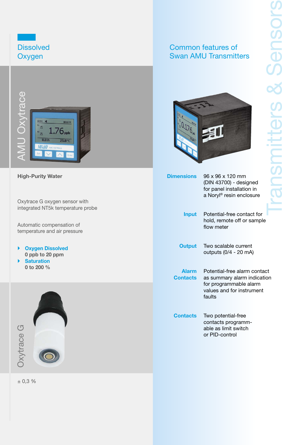

High-Purity Water

Oxytrace G oxygen sensor with integrated NT5k temperature probe

Automatic compensation of temperature and air pressure

▶ Oxygen Dissolved 0 ppb to 20 ppm ▶ Saturation 0 to 200 %



Common features of Swan AMU Transmitters



| <b>Dimensions</b>        | 96 x 96 x 120 mm<br>(DIN 43700) - designed<br>for panel installation in<br>a Noryl® resin enclosure                          |
|--------------------------|------------------------------------------------------------------------------------------------------------------------------|
| <b>Input</b>             | Potential-free contact for<br>hold, remote off or sample<br>flow meter                                                       |
| <b>Output</b>            | Two scalable current<br>outputs (0/4 - 20 mA)                                                                                |
| <b>Alarm</b><br>Contacts | Potential-free alarm contact<br>as summary alarm indication<br>for programmable alarm<br>values and for instrument<br>faults |
| Contacts                 | Two potential-free<br>contacts programm-<br>able as limit switch<br>or PID-control                                           |

 $± 0.3 %$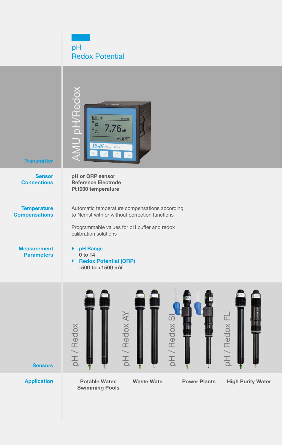pH Redox Potential



Swimming Pools